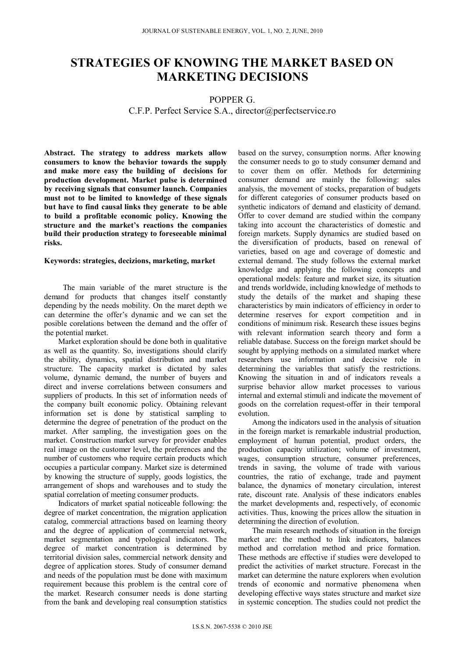# **STRATEGIES OF KNOWING THE MARKET BASED ON MARKETING DECISIONS**

## POPPER G.

## C.F.P. Perfect Service S.A., director@perfectservice.ro

**Abstract. The strategy to address markets allow consumers to know the behavior towards the supply and make more easy the building of decisions for production development. Market pulse is determined by receiving signals that consumer launch. Companies must not to be limited to knowledge of these signals but have to find causal links they generate to be able to build a profitable economic policy. Knowing the structure and the market's reactions the companies build their production strategy to foreseeable minimal risks.** 

### **Keywords: strategies, decizions, marketing, market**

The main variable of the maret structure is the demand for products that changes itself constantly depending by the needs mobility. On the maret depth we can determine the offer's dynamic and we can set the posible corelations between the demand and the offer of the potential market.

Market exploration should be done both in qualitative as well as the quantity. So, investigations should clarify the ability, dynamics, spatial distribution and market structure. The capacity market is dictated by sales volume, dynamic demand, the number of buyers and direct and inverse correlations between consumers and suppliers of products. In this set of information needs of the company built economic policy. Obtaining relevant information set is done by statistical sampling to determine the degree of penetration of the product on the market. After sampling, the investigation goes on the market. Construction market survey for provider enables real image on the customer level, the preferences and the number of customers who require certain products which occupies a particular company. Market size is determined by knowing the structure of supply, goods logistics, the arrangement of shops and warehouses and to study the spatial correlation of meeting consumer products.

Indicators of market spatial noticeable following: the degree of market concentration, the migration application catalog, commercial attractions based on learning theory and the degree of application of commercial network, market segmentation and typological indicators. The degree of market concentration is determined by territorial division sales, commercial network density and degree of application stores. Study of consumer demand and needs of the population must be done with maximum requirement because this problem is the central core of the market. Research consumer needs is done starting from the bank and developing real consumption statistics

based on the survey, consumption norms. After knowing the consumer needs to go to study consumer demand and to cover them on offer. Methods for determining consumer demand are mainly the following: sales analysis, the movement of stocks, preparation of budgets for different categories of consumer products based on synthetic indicators of demand and elasticity of demand. Offer to cover demand are studied within the company taking into account the characteristics of domestic and foreign markets. Supply dynamics are studied based on the diversification of products, based on renewal of varieties, based on age and coverage of domestic and external demand. The study follows the external market knowledge and applying the following concepts and operational models: feature and market size, its situation and trends worldwide, including knowledge of methods to study the details of the market and shaping these characteristics by main indicators of efficiency in order to determine reserves for export competition and in conditions of minimum risk. Research these issues begins with relevant information search theory and form a reliable database. Success on the foreign market should be sought by applying methods on a simulated market where researchers use information and decisive role in determining the variables that satisfy the restrictions. Knowing the situation in and of indicators reveals a surprise behavior allow market processes to various internal and external stimuli and indicate the movement of goods on the correlation request-offer in their temporal evolution.

Among the indicators used in the analysis of situation in the foreign market is remarkable industrial production, employment of human potential, product orders, the production capacity utilization; volume of investment, wages, consumption structure, consumer preferences, trends in saving, the volume of trade with various countries, the ratio of exchange, trade and payment balance, the dynamics of monetary circulation, interest rate, discount rate. Analysis of these indicators enables the market developments and, respectively, of economic activities. Thus, knowing the prices allow the situation in determining the direction of evolution.

The main research methods of situation in the foreign market are: the method to link indicators, balances method and correlation method and price formation. These methods are effective if studies were developed to predict the activities of market structure. Forecast in the market can determine the nature explorers when evolution trends of economic and normative phenomena when developing effective ways states structure and market size in systemic conception. The studies could not predict the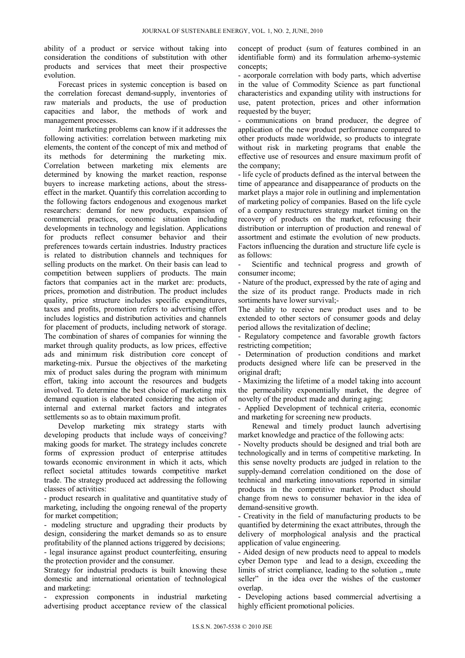ability of a product or service without taking into consideration the conditions of substitution with other products and services that meet their prospective evolution.

Forecast prices in systemic conception is based on the correlation forecast demand-supply, inventories of raw materials and products, the use of production capacities and labor, the methods of work and management processes.

Joint marketing problems can know if it addresses the following activities: correlation between marketing mix elements, the content of the concept of mix and method of its methods for determining the marketing mix. Correlation between marketing mix elements are determined by knowing the market reaction, response buyers to increase marketing actions, about the stresseffect in the market. Quantify this correlation according to the following factors endogenous and exogenous market researchers: demand for new products, expansion of commercial practices, economic situation including developments in technology and legislation. Applications for products reflect consumer behavior and their preferences towards certain industries. Industry practices is related to distribution channels and techniques for selling products on the market. On their basis can lead to competition between suppliers of products. The main factors that companies act in the market are: products, prices, promotion and distribution. The product includes quality, price structure includes specific expenditures, taxes and profits, promotion refers to advertising effort includes logistics and distribution activities and channels for placement of products, including network of storage. The combination of shares of companies for winning the market through quality products, as low prices, effective ads and minimum risk distribution core concept of marketing-mix. Pursue the objectives of the marketing mix of product sales during the program with minimum effort, taking into account the resources and budgets involved. To determine the best choice of marketing mix demand equation is elaborated considering the action of internal and external market factors and integrates settlements so as to obtain maximum profit.

Develop marketing mix strategy starts with developing products that include ways of conceiving? making goods for market. The strategy includes concrete forms of expression product of enterprise attitudes towards economic environment in which it acts, which reflect societal attitudes towards competitive market trade. The strategy produced act addressing the following classes of activities:

- product research in qualitative and quantitative study of marketing, including the ongoing renewal of the property for market competition;

- modeling structure and upgrading their products by design, considering the market demands so as to ensure profitability of the planned actions triggered by decisions; - legal insurance against product counterfeiting, ensuring

the protection provider and the consumer.

Strategy for industrial products is built knowing these domestic and international orientation of technological and marketing:

- expression components in industrial marketing advertising product acceptance review of the classical concept of product (sum of features combined in an identifiable form) and its formulation arhemo-systemic concepts;

- acorporale correlation with body parts, which advertise in the value of Commodity Science as part functional characteristics and expanding utility with instructions for use, patent protection, prices and other information requested by the buyer;

- communications on brand producer, the degree of application of the new product performance compared to other products made worldwide, so products to integrate without risk in marketing programs that enable the effective use of resources and ensure maximum profit of the company;

- life cycle of products defined as the interval between the time of appearance and disappearance of products on the market plays a major role in outlining and implementation of marketing policy of companies. Based on the life cycle of a company restructures strategy market timing on the recovery of products on the market, refocusing their distribution or interruption of production and renewal of assortment and estimate the evolution of new products. Factors influencing the duration and structure life cycle is as follows:

Scientific and technical progress and growth of consumer income;

- Nature of the product, expressed by the rate of aging and the size of its product range. Products made in rich sortiments have lower survival;-

The ability to receive new product uses and to be extended to other sectors of consumer goods and delay period allows the revitalization of decline;

- Regulatory competence and favorable growth factors restricting competition;

- Determination of production conditions and market products designed where life can be preserved in the original draft;

- Maximizing the lifetime of a model taking into account the permeability exponentially market, the degree of novelty of the product made and during aging;

- Applied Development of technical criteria, economic and marketing for screening new products.

Renewal and timely product launch advertising market knowledge and practice of the following acts:

- Novelty products should be designed and trial both are technologically and in terms of competitive marketing. In this sense novelty products are judged in relation to the supply-demand correlation conditioned on the dose of technical and marketing innovations reported in similar products in the competitive market. Product should change from news to consumer behavior in the idea of demand-sensitive growth.

- Creativity in the field of manufacturing products to be quantified by determining the exact attributes, through the delivery of morphological analysis and the practical application of value engineering.

- Aided design of new products need to appeal to models cyber Demon type and lead to a design, exceeding the limits of strict compliance, leading to the solution ... mute seller" in the idea over the wishes of the customer overlap.

- Developing actions based commercial advertising a highly efficient promotional policies.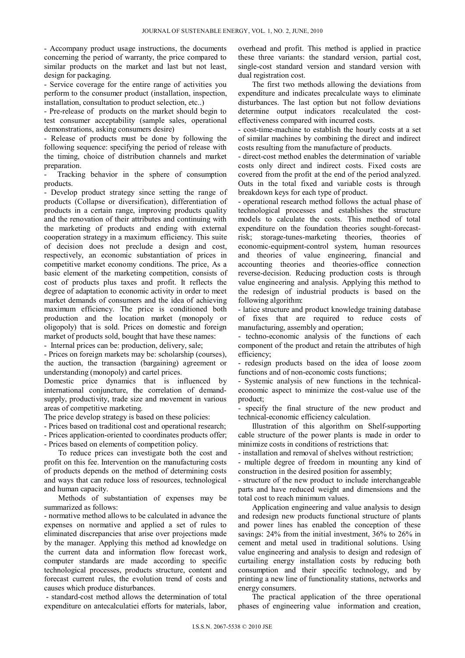- Accompany product usage instructions, the documents concerning the period of warranty, the price compared to similar products on the market and last but not least, design for packaging.

- Service coverage for the entire range of activities you perform to the consumer product (installation, inspection, installation, consultation to product selection, etc..)

- Pre-release of products on the market should begin to test consumer acceptability (sample sales, operational demonstrations, asking consumers desire)

- Release of products must be done by following the following sequence: specifying the period of release with the timing, choice of distribution channels and market preparation.

- Tracking behavior in the sphere of consumption products.

- Develop product strategy since setting the range of products (Collapse or diversification), differentiation of products in a certain range, improving products quality and the renovation of their attributes and continuing with the marketing of products and ending with external cooperation strategy in a maximum efficiency. This suite of decision does not preclude a design and cost, respectively, an economic substantiation of prices in competitive market economy conditions. The price, As a basic element of the marketing competition, consists of cost of products plus taxes and profit. It reflects the degree of adaptation to economic activity in order to meet market demands of consumers and the idea of achieving maximum efficiency. The price is conditioned both production and the location market (monopoly or oligopoly) that is sold. Prices on domestic and foreign market of products sold, bought that have these names:

- Internal prices can be: production, delivery, sale;

- Prices on foreign markets may be: scholarship (courses), the auction, the transaction (bargaining) agreement or understanding (monopoly) and cartel prices.

Domestic price dynamics that is influenced by international conjuncture, the correlation of demandsupply, productivity, trade size and movement in various areas of competitive marketing.

The price develop strategy is based on these policies:

- Prices based on traditional cost and operational research;

- Prices application-oriented to coordinates products offer;

- Prices based on elements of competition policy.

To reduce prices can investigate both the cost and profit on this fee. Intervention on the manufacturing costs of products depends on the method of determining costs and ways that can reduce loss of resources, technological and human capacity.

Methods of substantiation of expenses may be summarized as follows:

- normative method allows to be calculated in advance the expenses on normative and applied a set of rules to eliminated discrepancies that arise over projections made by the manager. Applying this method ad knowledge on the current data and information flow forecast work, computer standards are made according to specific technological processes, products structure, content and forecast current rules, the evolution trend of costs and causes which produce disturbances.

 - standard-cost method allows the determination of total expenditure on antecalculatiei efforts for materials, labor, overhead and profit. This method is applied in practice these three variants: the standard version, partial cost, single-cost standard version and standard version with dual registration cost.

The first two methods allowing the deviations from expenditure and indicates precalculate ways to eliminate disturbances. The last option but not follow deviations determine output indicators recalculated the costeffectiveness compared with incurred costs.

- cost-time-machine to establish the hourly costs at a set of similar machines by combining the direct and indirect costs resulting from the manufacture of products.

- direct-cost method enables the determination of variable costs only direct and indirect costs. Fixed costs are covered from the profit at the end of the period analyzed. Outs in the total fixed and variable costs is through breakdown keys for each type of product.

- operational research method follows the actual phase of technological processes and establishes the structure models to calculate the costs. This method of total expenditure on the foundation theories sought-forecastrisk; storage-tunes-marketing theories, theories of economic-equipment-control system, human resources and theories of value engineering, financial and accounting theories and theories-office connection reverse-decision. Reducing production costs is through value engineering and analysis. Applying this method to the redesign of industrial products is based on the following algorithm:

- latice structure and product knowledge training database of fixes that are required to reduce costs of manufacturing, assembly and operation;

- techno-economic analysis of the functions of each component of the product and retain the attributes of high efficiency;

- redesign products based on the idea of loose zoom functions and of non-economic costs functions;

- Systemic analysis of new functions in the technicaleconomic aspect to minimize the cost-value use of the product;

- specify the final structure of the new product and technical-economic efficiency calculation.

Illustration of this algorithm on Shelf-supporting cable structure of the power plants is made in order to minimize costs in conditions of restrictions that:

- installation and removal of shelves without restriction;

- multiple degree of freedom in mounting any kind of construction in the desired position for assembly;

- structure of the new product to include interchangeable parts and have reduced weight and dimensions and the total cost to reach minimum values.

Application engineering and value analysis to design and redesign new products functional structure of plants and power lines has enabled the conception of these savings: 24% from the initial investment, 36% to 26% in cement and metal used in traditional solutions. Using value engineering and analysis to design and redesign of curtailing energy installation costs by reducing both consumption and their specific technology, and by printing a new line of functionality stations, networks and energy consumers.

The practical application of the three operational phases of engineering value information and creation,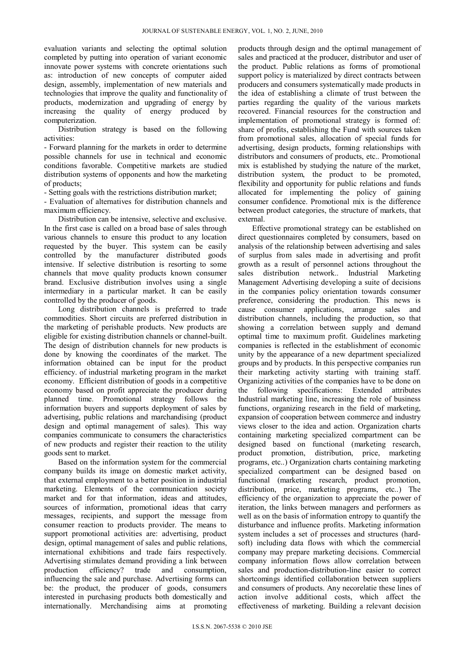evaluation variants and selecting the optimal solution completed by putting into operation of variant economic innovate power systems with concrete orientations such as: introduction of new concepts of computer aided design, assembly, implementation of new materials and technologies that improve the quality and functionality of products, modernization and upgrading of energy by increasing the quality of energy produced by computerization.

Distribution strategy is based on the following activities:

- Forward planning for the markets in order to determine possible channels for use in technical and economic conditions favorable. Competitive markets are studied distribution systems of opponents and how the marketing of products;

- Setting goals with the restrictions distribution market;

- Evaluation of alternatives for distribution channels and maximum efficiency.

Distribution can be intensive, selective and exclusive. In the first case is called on a broad base of sales through various channels to ensure this product to any location requested by the buyer. This system can be easily controlled by the manufacturer distributed goods intensive. If selective distribution is resorting to some channels that move quality products known consumer brand. Exclusive distribution involves using a single intermediary in a particular market. It can be easily controlled by the producer of goods.

Long distribution channels is preferred to trade commodities. Short circuits are preferred distribution in the marketing of perishable products. New products are eligible for existing distribution channels or channel-built. The design of distribution channels for new products is done by knowing the coordinates of the market. The information obtained can be input for the product efficiency. of industrial marketing program in the market economy. Efficient distribution of goods in a competitive economy based on profit appreciate the producer during planned time. Promotional strategy follows the information buyers and supports deployment of sales by advertising, public relations and marchandising (product design and optimal management of sales). This way companies communicate to consumers the characteristics of new products and register their reaction to the utility goods sent to market.

Based on the information system for the commercial company builds its image on domestic market activity, that external employment to a better position in industrial marketing. Elements of the communication society market and for that information, ideas and attitudes, sources of information, promotional ideas that carry messages, recipients, and support the message from consumer reaction to products provider. The means to support promotional activities are: advertising, product design, optimal management of sales and public relations, international exhibitions and trade fairs respectively. Advertising stimulates demand providing a link between production efficiency? trade and consumption, influencing the sale and purchase. Advertising forms can be: the product, the producer of goods, consumers interested in purchasing products both domestically and internationally. Merchandising aims at promoting

products through design and the optimal management of sales and practiced at the producer, distributor and user of the product. Public relations as forms of promotional support policy is materialized by direct contracts between producers and consumers systematically made products in the idea of establishing a climate of trust between the parties regarding the quality of the various markets recovered. Financial resources for the construction and implementation of promotional strategy is formed of: share of profits, establishing the Fund with sources taken from promotional sales, allocation of special funds for advertising, design products, forming relationships with distributors and consumers of products, etc.. Promotional mix is established by studying the nature of the market, distribution system, the product to be promoted, flexibility and opportunity for public relations and funds allocated for implementing the policy of gaining consumer confidence. Promotional mix is the difference between product categories, the structure of markets, that external.

Effective promotional strategy can be established on direct questionnaires completed by consumers, based on analysis of the relationship between advertising and sales of surplus from sales made in advertising and profit growth as a result of personnel actions throughout the sales distribution network.. Industrial Marketing Management Advertising developing a suite of decisions in the companies policy orientation towards consumer preference, considering the production. This news is cause consumer applications, arrange sales and distribution channels, including the production, so that showing a correlation between supply and demand optimal time to maximum profit. Guidelines marketing companies is reflected in the establishment of economic unity by the appearance of a new department specialized groups and by products. In this perspective companies run their marketing activity starting with training staff. Organizing activities of the companies have to be done on the following specifications: Extended attributes Industrial marketing line, increasing the role of business functions, organizing research in the field of marketing, expansion of cooperation between commerce and industry views closer to the idea and action. Organization charts containing marketing specialized compartment can be designed based on functional (marketing research, product promotion, distribution, price, marketing programs, etc..) Organization charts containing marketing specialized compartment can be designed based on functional (marketing research, product promotion, distribution, price, marketing programs, etc..) The efficiency of the organization to appreciate the power of iteration, the links between managers and performers as well as on the basis of information entropy to quantify the disturbance and influence profits. Marketing information system includes a set of processes and structures (hardsoft) including data flows with which the commercial company may prepare marketing decisions. Commercial company information flows allow correlation between sales and production-distribution-line easier to correct shortcomings identified collaboration between suppliers and consumers of products. Any necorelatie these lines of action involve additional costs, which affect the effectiveness of marketing. Building a relevant decision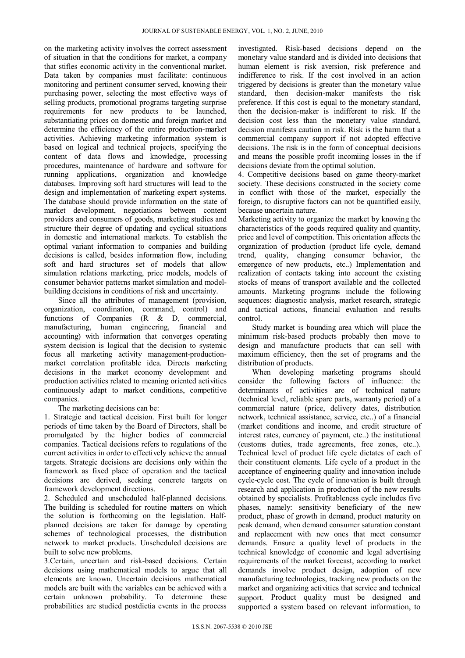on the marketing activity involves the correct assessment of situation in that the conditions for market, a company that stifles economic activity in the conventional market. Data taken by companies must facilitate: continuous monitoring and pertinent consumer served, knowing their purchasing power, selecting the most effective ways of selling products, promotional programs targeting surprise requirements for new products to be launched, substantiating prices on domestic and foreign market and determine the efficiency of the entire production-market activities. Achieving marketing information system is based on logical and technical projects, specifying the content of data flows and knowledge, processing procedures, maintenance of hardware and software for running applications, organization and knowledge databases. Improving soft hard structures will lead to the design and implementation of marketing expert systems. The database should provide information on the state of market development, negotiations between content providers and consumers of goods, marketing studies and structure their degree of updating and cyclical situations in domestic and international markets. To establish the optimal variant information to companies and building decisions is called, besides information flow, including soft and hard structures set of models that allow simulation relations marketing, price models, models of consumer behavior patterns market simulation and modelbuilding decisions in conditions of risk and uncertainty.

Since all the attributes of management (provision, organization, coordination, command, control) and functions of Companies (R & D, commercial, manufacturing, human engineering, financial and accounting) with information that converges operating system decision is logical that the decision to systemic focus all marketing activity management-productionmarket correlation profitable idea. Directs marketing decisions in the market economy development and production activities related to meaning oriented activities continuously adapt to market conditions, competitive companies.

The marketing decisions can be:

1. Strategic and tactical decision. First built for longer periods of time taken by the Board of Directors, shall be promulgated by the higher bodies of commercial companies. Tactical decisions refers to regulations of the current activities in order to effectively achieve the annual targets. Strategic decisions are decisions only within the framework as fixed place of operation and the tactical decisions are derived, seeking concrete targets on framework development directions.

2. Scheduled and unscheduled half-planned decisions. The building is scheduled for routine matters on which the solution is forthcoming on the legislation. Halfplanned decisions are taken for damage by operating schemes of technological processes, the distribution network to market products. Unscheduled decisions are built to solve new problems.

3.Certain, uncertain and risk-based decisions. Certain decisions using mathematical models to argue that all elements are known. Uncertain decisions mathematical models are built with the variables can be achieved with a certain unknown probability. To determine these probabilities are studied postdictia events in the process investigated. Risk-based decisions depend on the monetary value standard and is divided into decisions that human element is risk aversion, risk preference and indifference to risk. If the cost involved in an action triggered by decisions is greater than the monetary value standard, then decision-maker manifests the risk preference. If this cost is equal to the monetary standard, then the decision-maker is indifferent to risk. If the decision cost less than the monetary value standard, decision manifests caution in risk. Risk is the harm that a commercial company support if not adopted effective decisions. The risk is in the form of conceptual decisions and means the possible profit incomiing losses in the if decisions deviate from the optimal solution.

4. Competitive decisions based on game theory-market society. These decisions constructed in the society come in conflict with those of the market, especially the foreign, to disruptive factors can not be quantified easily, because uncertain nature.

Marketing activity to organize the market by knowing the characteristics of the goods required quality and quantity, price and level of competition. This orientation affects the organization of production (product life cycle, demand trend, quality, changing consumer behavior, the emergence of new products, etc..) Implementation and realization of contacts taking into account the existing stocks of means of transport available and the collected amounts. Marketing programs include the following sequences: diagnostic analysis, market research, strategic and tactical actions, financial evaluation and results control.

Study market is bounding area which will place the minimum risk-based products probably then move to design and manufacture products that can sell with maximum efficiency, then the set of programs and the distribution of products.

When developing marketing programs should consider the following factors of influence: the determinants of activities are of technical nature (technical level, reliable spare parts, warranty period) of a commercial nature (price, delivery dates, distribution network, technical assistance, service, etc..) of a financial (market conditions and income, and credit structure of interest rates, currency of payment, etc..) the institutional (customs duties, trade agreements, free zones, etc..). Technical level of product life cycle dictates of each of their constituent elements. Life cycle of a product in the acceptance of engineering quality and innovation include cycle-cycle cost. The cycle of innovation is built through research and application in production of the new results obtained by specialists. Profitableness cycle includes five phases, namely: sensitivity beneficiary of the new product, phase of growth in demand, product maturity on peak demand, when demand consumer saturation constant and replacement with new ones that meet consumer demands. Ensure a quality level of products in the technical knowledge of economic and legal advertising requirements of the market forecast, according to market demands involve product design, adoption of new manufacturing technologies, tracking new products on the market and organizing activities that service and technical support. Product quality must be designed and supported a system based on relevant information, to